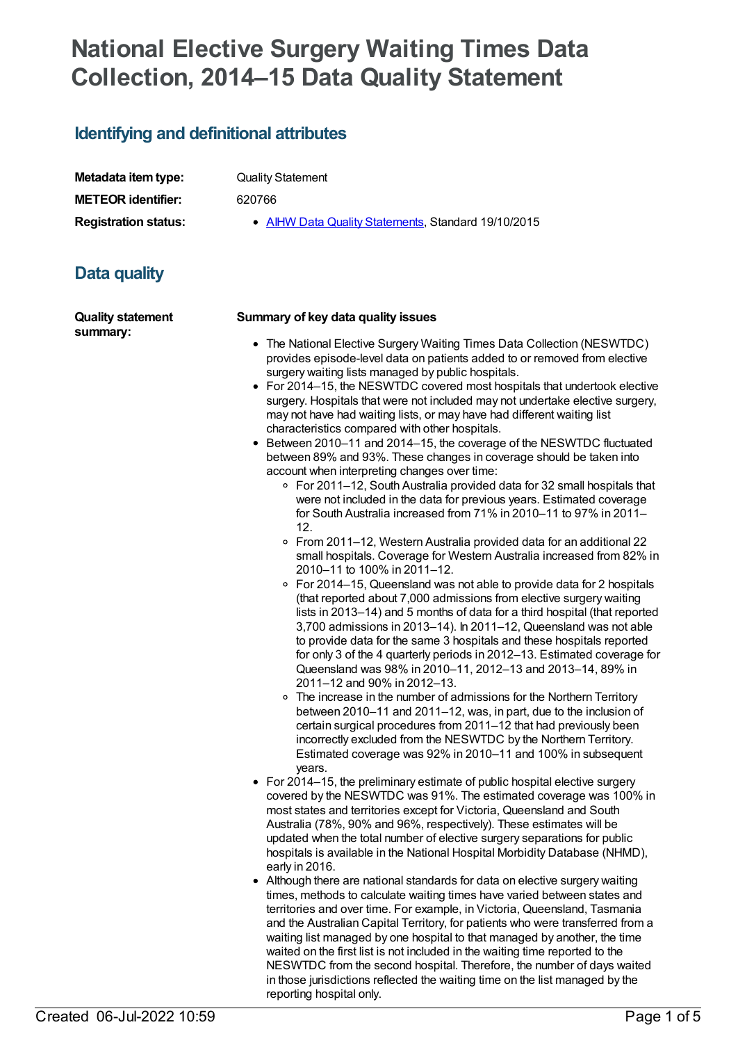# **National Elective Surgery Waiting Times Data Collection, 2014–15 Data Quality Statement**

## **Identifying and definitional attributes**

| Metadata item type:         |
|-----------------------------|
| <b>METEOR identifier:</b>   |
| <b>Registration status:</b> |

**Quality Statement** 

**METEOR identifier:** 620766

**AIHW Data Quality [Statements](https://meteor.aihw.gov.au/RegistrationAuthority/5), Standard 19/10/2015** 

# **Data quality**

**Quality statement summary:**

#### **Summary of key data quality issues**

- The National Elective Surgery Waiting Times Data Collection (NESWTDC) provides episode-level data on patients added to or removed from elective surgery waiting lists managed by public hospitals.
- For 2014–15, the NESWTDC covered most hospitals that undertook elective surgery. Hospitals that were not included may not undertake elective surgery, may not have had waiting lists, or may have had different waiting list characteristics compared with other hospitals.
- Between 2010–11 and 2014–15, the coverage of the NESWTDC fluctuated between 89% and 93%. These changes in coverage should be taken into account when interpreting changes over time:
	- For 2011–12, South Australia provided data for 32 small hospitals that were not included in the data for previous years. Estimated coverage for South Australia increased from 71% in 2010–11 to 97% in 2011– 12.
	- From 2011–12, Western Australia provided data for an additional 22 small hospitals. Coverage for Western Australia increased from 82% in 2010–11 to 100% in 2011–12.
	- For 2014–15, Queensland was not able to provide data for 2 hospitals (that reported about 7,000 admissions from elective surgery waiting lists in 2013–14) and 5 months of data for a third hospital (that reported 3,700 admissions in 2013–14). In 2011–12, Queensland was not able to provide data for the same 3 hospitals and these hospitals reported for only 3 of the 4 quarterly periods in 2012–13. Estimated coverage for Queensland was 98% in 2010–11, 2012–13 and 2013–14, 89% in 2011–12 and 90% in 2012–13.
	- The increase in the number of admissions for the Northern Territory between 2010–11 and 2011–12, was, in part, due to the inclusion of certain surgical procedures from 2011–12 that had previously been incorrectly excluded from the NESWTDC by the Northern Territory. Estimated coverage was 92% in 2010–11 and 100% in subsequent years.
- For 2014–15, the preliminary estimate of public hospital elective surgery covered by the NESWTDC was 91%. The estimated coverage was 100% in most states and territories except for Victoria, Queensland and South Australia (78%, 90% and 96%, respectively). These estimates will be updated when the total number of elective surgery separations for public hospitals is available in the National Hospital Morbidity Database (NHMD), early in 2016.
- Although there are national standards for data on elective surgery waiting times, methods to calculate waiting times have varied between states and territories and over time. For example, in Victoria, Queensland, Tasmania and the Australian Capital Territory, for patients who were transferred from a waiting list managed by one hospital to that managed by another, the time waited on the first list is not included in the waiting time reported to the NESWTDC from the second hospital. Therefore, the number of days waited in those jurisdictions reflected the waiting time on the list managed by the reporting hospital only.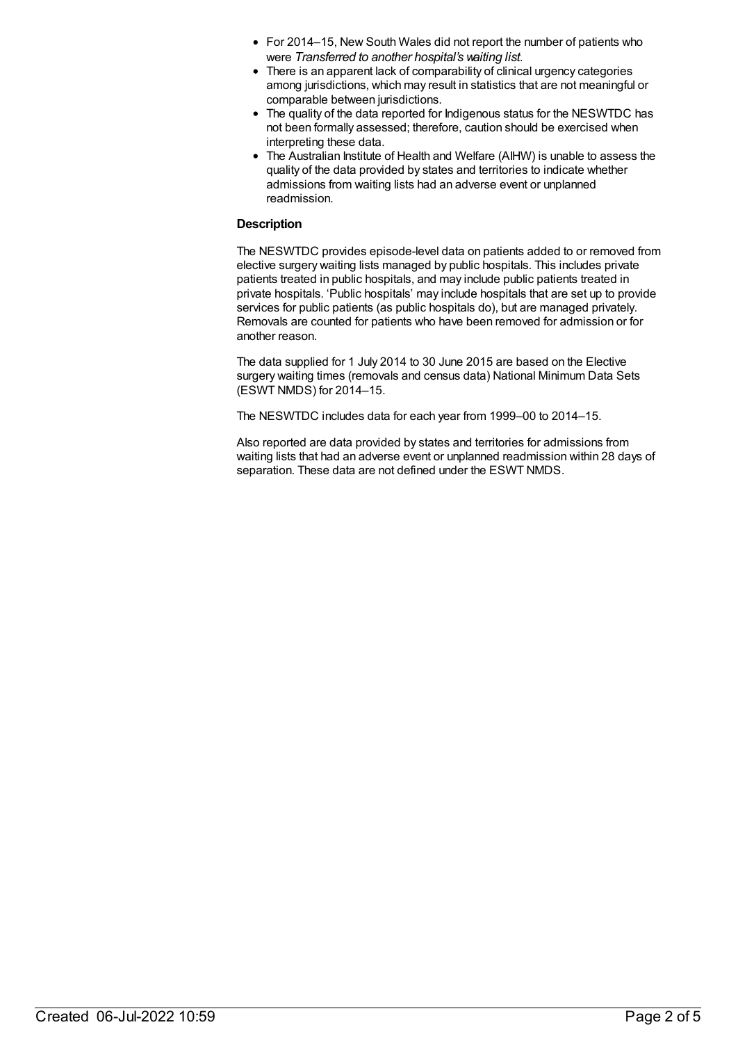- For 2014–15, New South Wales did not report the number of patients who were *Transferred to another hospital's waiting list*.
- There is an apparent lack of comparability of clinical urgency categories among jurisdictions, which may result in statistics that are not meaningful or comparable between jurisdictions.
- The quality of the data reported for Indigenous status for the NESWTDC has not been formally assessed; therefore, caution should be exercised when interpreting these data.
- The Australian Institute of Health and Welfare (AIHW) is unable to assess the quality of the data provided by states and territories to indicate whether admissions from waiting lists had an adverse event or unplanned readmission.

#### **Description**

The NESWTDC provides episode-level data on patients added to or removed from elective surgery waiting lists managed by public hospitals. This includes private patients treated in public hospitals, and may include public patients treated in private hospitals. 'Public hospitals' may include hospitals that are set up to provide services for public patients (as public hospitals do), but are managed privately. Removals are counted for patients who have been removed for admission or for another reason.

The data supplied for 1 July 2014 to 30 June 2015 are based on the Elective surgery waiting times (removals and census data) National Minimum Data Sets (ESWT NMDS) for 2014–15.

The NESWTDC includes data for each year from 1999–00 to 2014–15.

Also reported are data provided by states and territories for admissions from waiting lists that had an adverse event or unplanned readmission within 28 days of separation. These data are not defined under the ESWT NMDS.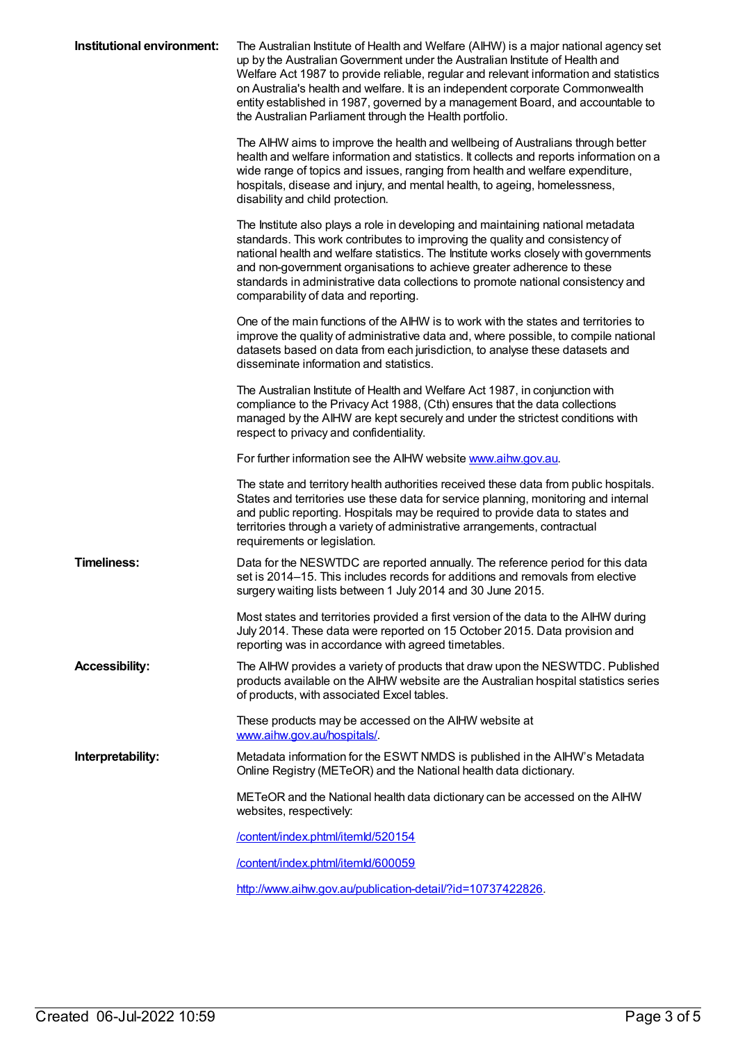| Institutional environment: | The Australian Institute of Health and Welfare (AIHW) is a major national agency set<br>up by the Australian Government under the Australian Institute of Health and<br>Welfare Act 1987 to provide reliable, regular and relevant information and statistics<br>on Australia's health and welfare. It is an independent corporate Commonwealth<br>entity established in 1987, governed by a management Board, and accountable to<br>the Australian Parliament through the Health portfolio. |
|----------------------------|----------------------------------------------------------------------------------------------------------------------------------------------------------------------------------------------------------------------------------------------------------------------------------------------------------------------------------------------------------------------------------------------------------------------------------------------------------------------------------------------|
|                            | The AIHW aims to improve the health and wellbeing of Australians through better<br>health and welfare information and statistics. It collects and reports information on a<br>wide range of topics and issues, ranging from health and welfare expenditure,<br>hospitals, disease and injury, and mental health, to ageing, homelessness,<br>disability and child protection.                                                                                                                |
|                            | The Institute also plays a role in developing and maintaining national metadata<br>standards. This work contributes to improving the quality and consistency of<br>national health and welfare statistics. The Institute works closely with governments<br>and non-government organisations to achieve greater adherence to these<br>standards in administrative data collections to promote national consistency and<br>comparability of data and reporting.                                |
|                            | One of the main functions of the AIHW is to work with the states and territories to<br>improve the quality of administrative data and, where possible, to compile national<br>datasets based on data from each jurisdiction, to analyse these datasets and<br>disseminate information and statistics.                                                                                                                                                                                        |
|                            | The Australian Institute of Health and Welfare Act 1987, in conjunction with<br>compliance to the Privacy Act 1988, (Cth) ensures that the data collections<br>managed by the AIHW are kept securely and under the strictest conditions with<br>respect to privacy and confidentiality.                                                                                                                                                                                                      |
|                            | For further information see the AIHW website www.aihw.gov.au.                                                                                                                                                                                                                                                                                                                                                                                                                                |
|                            | The state and territory health authorities received these data from public hospitals.<br>States and territories use these data for service planning, monitoring and internal<br>and public reporting. Hospitals may be required to provide data to states and<br>territories through a variety of administrative arrangements, contractual<br>requirements or legislation.                                                                                                                   |
| <b>Timeliness:</b>         | Data for the NESWTDC are reported annually. The reference period for this data<br>set is 2014-15. This includes records for additions and removals from elective<br>surgery waiting lists between 1 July 2014 and 30 June 2015.                                                                                                                                                                                                                                                              |
|                            | Most states and territories provided a first version of the data to the AIHW during<br>July 2014. These data were reported on 15 October 2015. Data provision and<br>reporting was in accordance with agreed timetables.                                                                                                                                                                                                                                                                     |
| <b>Accessibility:</b>      | The AIHW provides a variety of products that draw upon the NESWTDC. Published<br>products available on the AIHW website are the Australian hospital statistics series<br>of products, with associated Excel tables.                                                                                                                                                                                                                                                                          |
|                            | These products may be accessed on the AIHW website at<br>www.aihw.gov.au/hospitals/                                                                                                                                                                                                                                                                                                                                                                                                          |
| Interpretability:          | Metadata information for the ESWT NMDS is published in the AIHW's Metadata<br>Online Registry (METeOR) and the National health data dictionary.                                                                                                                                                                                                                                                                                                                                              |
|                            | METeOR and the National health data dictionary can be accessed on the AIHW<br>websites, respectively:                                                                                                                                                                                                                                                                                                                                                                                        |
|                            | /content/index.phtml/itemld/520154                                                                                                                                                                                                                                                                                                                                                                                                                                                           |
|                            | /content/index.phtml/itemld/600059                                                                                                                                                                                                                                                                                                                                                                                                                                                           |
|                            | http://www.aihw.gov.au/publication-detail/?id=10737422826.                                                                                                                                                                                                                                                                                                                                                                                                                                   |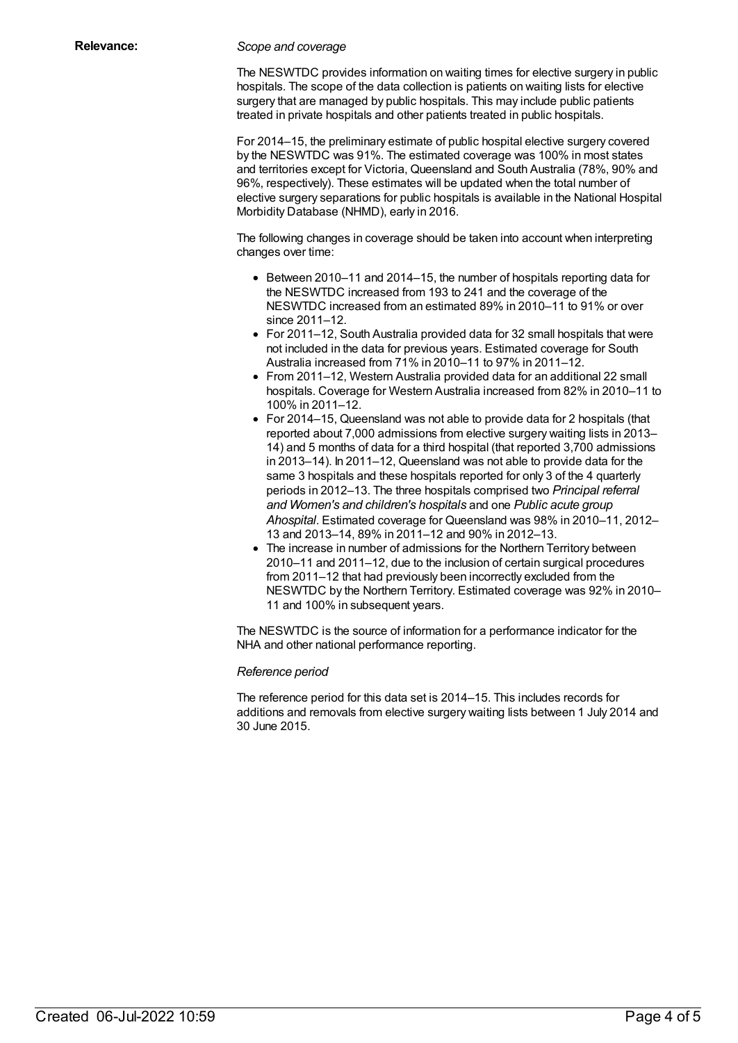#### **Relevance:** *Scope and coverage*

The NESWTDC provides information on waiting times for elective surgery in public hospitals. The scope of the data collection is patients on waiting lists for elective surgery that are managed by public hospitals. This may include public patients treated in private hospitals and other patients treated in public hospitals.

For 2014–15, the preliminary estimate of public hospital elective surgery covered by the NESWTDC was 91%. The estimated coverage was 100% in most states and territories except for Victoria, Queensland and South Australia (78%, 90% and 96%, respectively). These estimates will be updated when the total number of elective surgery separations for public hospitals is available in the National Hospital Morbidity Database (NHMD), early in 2016.

The following changes in coverage should be taken into account when interpreting changes over time:

- Between 2010–11 and 2014–15, the number of hospitals reporting data for the NESWTDC increased from 193 to 241 and the coverage of the NESWTDC increased from an estimated 89% in 2010–11 to 91% or over since 2011–12.
- For 2011–12, South Australia provided data for 32 small hospitals that were not included in the data for previous years. Estimated coverage for South Australia increased from 71% in 2010–11 to 97% in 2011–12.
- From 2011–12, Western Australia provided data for an additional 22 small hospitals. Coverage for Western Australia increased from 82% in 2010–11 to 100% in 2011–12.
- For 2014–15, Queensland was not able to provide data for 2 hospitals (that reported about 7,000 admissions from elective surgery waiting lists in 2013– 14) and 5 months of data for a third hospital (that reported 3,700 admissions in 2013–14). In 2011–12, Queensland was not able to provide data for the same 3 hospitals and these hospitals reported for only 3 of the 4 quarterly periods in 2012–13. The three hospitals comprised two *Principal referral and Women's and children's hospitals* and one *Public acute group Ahospital*. Estimated coverage for Queensland was 98% in 2010–11, 2012– 13 and 2013–14, 89% in 2011–12 and 90% in 2012–13.
- The increase in number of admissions for the Northern Territory between 2010–11 and 2011–12, due to the inclusion of certain surgical procedures from 2011–12 that had previously been incorrectly excluded from the NESWTDC by the Northern Territory. Estimated coverage was 92% in 2010– 11 and 100% in subsequent years.

The NESWTDC is the source of information for a performance indicator for the NHA and other national performance reporting.

#### *Reference period*

The reference period for this data set is 2014–15. This includes records for additions and removals from elective surgery waiting lists between 1 July 2014 and 30 June 2015.